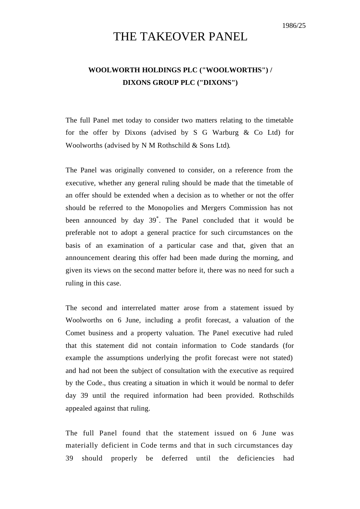## THE TAKEOVER PANEL

## **WOOLWORTH HOLDINGS PLC ("WOOLWORTHS") / DIXONS GROUP PLC ("DIXONS")**

The full Panel met today to consider two matters relating to the timetable for the offer by Dixons (advised by S G Warburg & Co Ltd) for Woolworths (advised by N M Rothschild & Sons Ltd).

The Panel was originally convened to consider, on a reference from the executive, whether any general ruling should be made that the timetable of an offer should be extended when a decision as to whether or not the offer should be referred to the Monopolies and Mergers Commission has not been announced by day 39\* . The Panel concluded that it would be preferable not to adopt a general practice for such circumstances on the basis of an examination of a particular case and that, given that an announcement clearing this offer had been made during the morning, and given its views on the second matter before it, there was no need for such a ruling in this case.

The second and interrelated matter arose from a statement issued by Woolworths on 6 June, including a profit forecast, a valuation of the Comet business and a property valuation. The Panel executive had ruled that this statement did not contain information to Code standards (for example the assumptions underlying the profit forecast were not stated) and had not been the subject of consultation with the executive as required by the Code., thus creating a situation in which it would be normal to defer day 39 until the required information had been provided. Rothschilds appealed against that ruling.

The full Panel found that the statement issued on 6 June was materially deficient in Code terms and that in such circumstances day 39 should properly be deferred until the deficiencies had